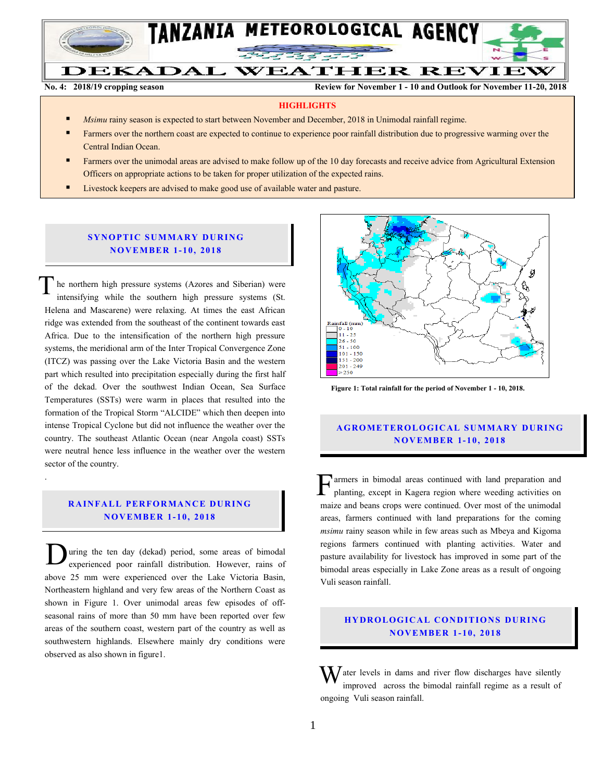

**No. 4: 2018/19 cropping season Review for November 1 - 10 and Outlook for November 11-20, 2018**

#### **HIGHLIGHTS**

- *Msimu* rainy season is expected to start between November and December, 2018 in Unimodal rainfall regime.
- Farmers over the northern coast are expected to continue to experience poor rainfall distribution due to progressive warming over the Central Indian Ocean.
- Farmers over the unimodal areas are advised to make follow up of the 10 day forecasts and receive advice from Agricultural Extension Officers on appropriate actions to be taken for proper utilization of the expected rains.
- Livestock keepers are advised to make good use of available water and pasture.

## **SYNOPTIC SUMMARY DURING N O V EMBER 1- 10, 201 8**

he northern high pressure systems (Azores and Siberian) were intensifying while the southern high pressure systems (St. Helena and Mascarene) were relaxing. At times the east African ridge was extended from the southeast of the continent towards east Africa. Due to the intensification of the northern high pressure systems, the meridional arm of the Inter Tropical Convergence Zone (ITCZ) was passing over the Lake Victoria Basin and the western part which resulted into precipitation especially during the first half of the dekad. Over the southwest Indian Ocean, Sea Surface Temperatures (SSTs) were warm in places that resulted into the formation of the Tropical Storm "ALCIDE" which then deepen into intense Tropical Cyclone but did not influence the weather over the country. The southeast Atlantic Ocean (near Angola coast) SSTs were neutral hence less influence in the weather over the western sector of the country. T

# **RAINFALL PERFORMANCE DURING N O V EMBER 1- 10, 2018**

.

uring the ten day (dekad) period, some areas of bimodal experienced poor rainfall distribution. However, rains of above 25 mm were experienced over the Lake Victoria Basin, Northeastern highland and very few areas of the Northern Coast as shown in Figure 1. Over unimodal areas few episodes of offseasonal rains of more than 50 mm have been reported over few areas of the southern coast, western part of the country as well as southwestern highlands. Elsewhere mainly dry conditions were observed as also shown in figure1. D



 **Figure 1: Total rainfall for the period of November 1 - 10, 2018.**

# **A G RO METER O LO G IC AL SU MMAR Y DU R IN G N O V EMBER 1- 10 , 2018**

armers in bimodal areas continued with land preparation and planting, except in Kagera region where weeding activities on maize and beans crops were continued. Over most of the unimodal areas, farmers continued with land preparations for the coming *msimu* rainy season while in few areas such as Mbeya and Kigoma regions farmers continued with planting activities. Water and pasture availability for livestock has improved in some part of the bimodal areas especially in Lake Zone areas as a result of ongoing Vuli season rainfall.  $\mathbf{F}_{\text{pl}}^{\text{ar}}$ 

## **HYDROLOGICAL CONDITIONS DURING N O V EMBER 1- 10, 2018**

 $\mathbf{W}$  ater levels in dams and river flow discharges have silently improved across the bimodal rainfall regime as a result of improved across the bimodal rainfall regime as a result of ongoing Vuli season rainfall.